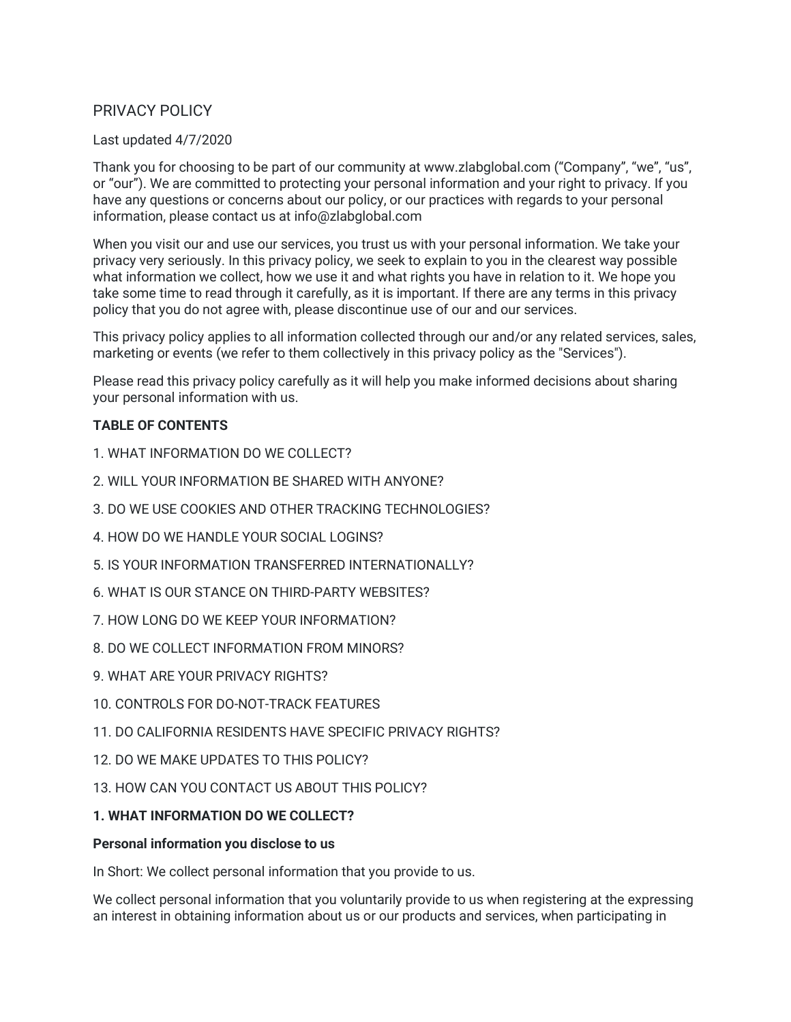# PRIVACY POLICY

#### Last updated 4/7/2020

Thank you for choosing to be part of our community at www.zlabglobal.com ("Company", "we", "us", or "our"). We are committed to protecting your personal information and your right to privacy. If you have any questions or concerns about our policy, or our practices with regards to your personal information, please contact us at info@zlabglobal.com

When you visit our and use our services, you trust us with your personal information. We take your privacy very seriously. In this privacy policy, we seek to explain to you in the clearest way possible what information we collect, how we use it and what rights you have in relation to it. We hope you take some time to read through it carefully, as it is important. If there are any terms in this privacy policy that you do not agree with, please discontinue use of our and our services.

This privacy policy applies to all information collected through our and/or any related services, sales, marketing or events (we refer to them collectively in this privacy policy as the "Services").

Please read this privacy policy carefully as it will help you make informed decisions about sharing your personal information with us.

#### **TABLE OF CONTENTS**

- 1. WHAT INFORMATION DO WE COLLECT?
- 2. WILL YOUR INFORMATION BE SHARED WITH ANYONE?
- 3. DO WE USE COOKIES AND OTHER TRACKING TECHNOLOGIES?
- 4. HOW DO WE HANDLE YOUR SOCIAL LOGINS?
- 5. IS YOUR INFORMATION TRANSFERRED INTERNATIONALLY?
- 6. WHAT IS OUR STANCE ON THIRD-PARTY WEBSITES?
- 7. HOW LONG DO WE KEEP YOUR INFORMATION?
- 8. DO WE COLLECT INFORMATION FROM MINORS?
- 9. WHAT ARE YOUR PRIVACY RIGHTS?
- 10. CONTROLS FOR DO-NOT-TRACK FEATURES
- 11. DO CALIFORNIA RESIDENTS HAVE SPECIFIC PRIVACY RIGHTS?
- 12. DO WE MAKE UPDATES TO THIS POLICY?
- 13. HOW CAN YOU CONTACT US ABOUT THIS POLICY?

#### **1. WHAT INFORMATION DO WE COLLECT?**

#### **Personal information you disclose to us**

In Short: We collect personal information that you provide to us.

We collect personal information that you voluntarily provide to us when registering at the expressing an interest in obtaining information about us or our products and services, when participating in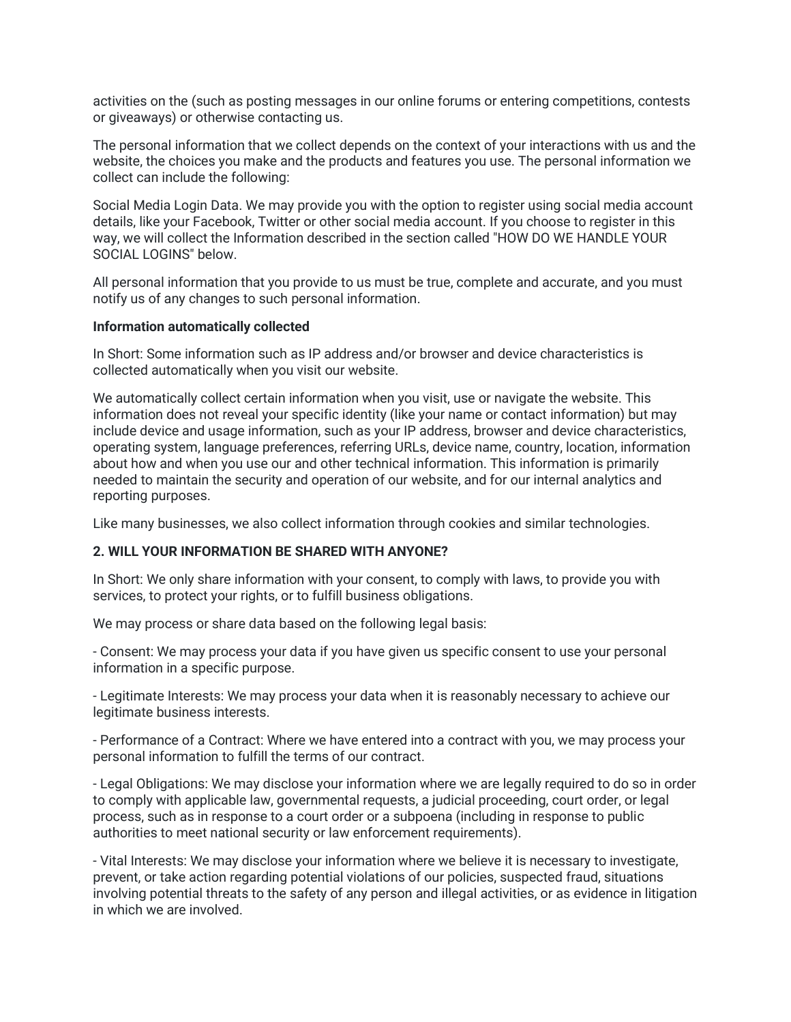activities on the (such as posting messages in our online forums or entering competitions, contests or giveaways) or otherwise contacting us.

The personal information that we collect depends on the context of your interactions with us and the website, the choices you make and the products and features you use. The personal information we collect can include the following:

Social Media Login Data. We may provide you with the option to register using social media account details, like your Facebook, Twitter or other social media account. If you choose to register in this way, we will collect the Information described in the section called "HOW DO WE HANDLE YOUR SOCIAL LOGINS" below.

All personal information that you provide to us must be true, complete and accurate, and you must notify us of any changes to such personal information.

#### **Information automatically collected**

In Short: Some information such as IP address and/or browser and device characteristics is collected automatically when you visit our website.

We automatically collect certain information when you visit, use or navigate the website. This information does not reveal your specific identity (like your name or contact information) but may include device and usage information, such as your IP address, browser and device characteristics, operating system, language preferences, referring URLs, device name, country, location, information about how and when you use our and other technical information. This information is primarily needed to maintain the security and operation of our website, and for our internal analytics and reporting purposes.

Like many businesses, we also collect information through cookies and similar technologies.

#### **2. WILL YOUR INFORMATION BE SHARED WITH ANYONE?**

In Short: We only share information with your consent, to comply with laws, to provide you with services, to protect your rights, or to fulfill business obligations.

We may process or share data based on the following legal basis:

- Consent: We may process your data if you have given us specific consent to use your personal information in a specific purpose.

- Legitimate Interests: We may process your data when it is reasonably necessary to achieve our legitimate business interests.

- Performance of a Contract: Where we have entered into a contract with you, we may process your personal information to fulfill the terms of our contract.

- Legal Obligations: We may disclose your information where we are legally required to do so in order to comply with applicable law, governmental requests, a judicial proceeding, court order, or legal process, such as in response to a court order or a subpoena (including in response to public authorities to meet national security or law enforcement requirements).

- Vital Interests: We may disclose your information where we believe it is necessary to investigate, prevent, or take action regarding potential violations of our policies, suspected fraud, situations involving potential threats to the safety of any person and illegal activities, or as evidence in litigation in which we are involved.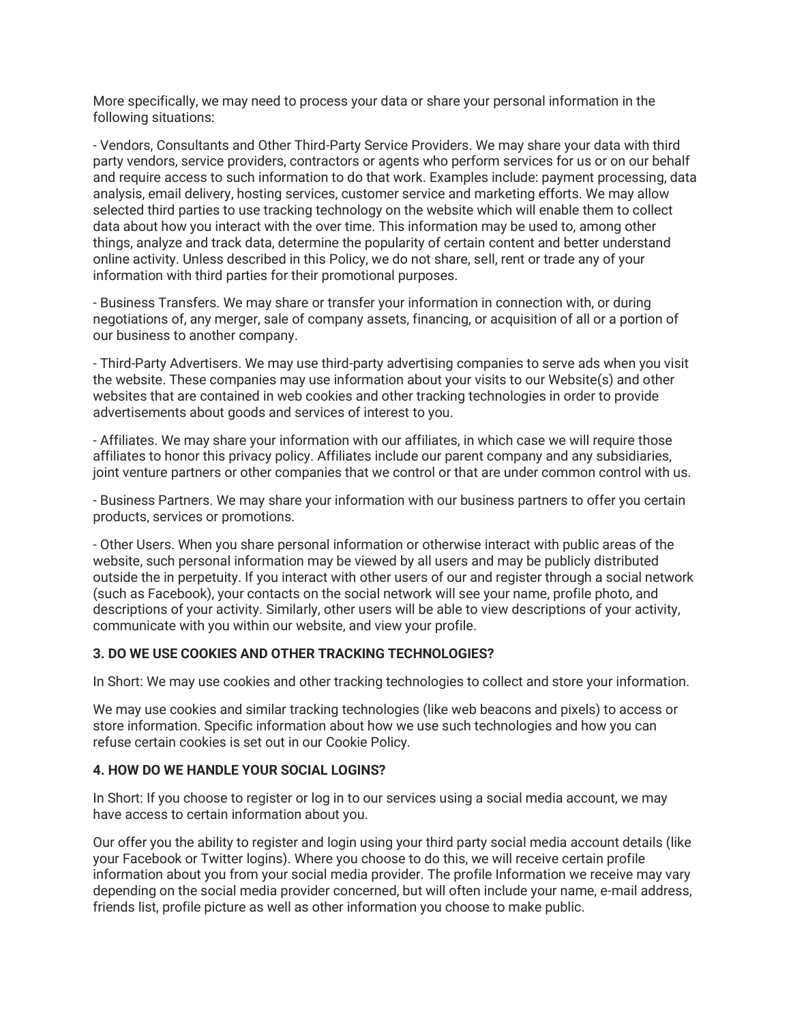More specifically, we may need to process your data or share your personal information in the following situations:

- Vendors, Consultants and Other Third-Party Service Providers. We may share your data with third party vendors, service providers, contractors or agents who perform services for us or on our behalf and require access to such information to do that work. Examples include: payment processing, data analysis, email delivery, hosting services, customer service and marketing efforts. We may allow selected third parties to use tracking technology on the website which will enable them to collect data about how you interact with the over time. This information may be used to, among other things, analyze and track data, determine the popularity of certain content and better understand online activity. Unless described in this Policy, we do not share, sell, rent or trade any of your information with third parties for their promotional purposes.

- Business Transfers. We may share or transfer your information in connection with, or during negotiations of, any merger, sale of company assets, financing, or acquisition of all or a portion of our business to another company.

- Third-Party Advertisers. We may use third-party advertising companies to serve ads when you visit the website. These companies may use information about your visits to our Website(s) and other websites that are contained in web cookies and other tracking technologies in order to provide advertisements about goods and services of interest to you.

- Affiliates. We may share your information with our affiliates, in which case we will require those affiliates to honor this privacy policy. Affiliates include our parent company and any subsidiaries, joint venture partners or other companies that we control or that are under common control with us.

- Business Partners. We may share your information with our business partners to offer you certain products, services or promotions.

- Other Users. When you share personal information or otherwise interact with public areas of the website, such personal information may be viewed by all users and may be publicly distributed outside the in perpetuity. If you interact with other users of our and register through a social network (such as Facebook), your contacts on the social network will see your name, profile photo, and descriptions of your activity. Similarly, other users will be able to view descriptions of your activity, communicate with you within our website, and view your profile.

#### **3. DO WE USE COOKIES AND OTHER TRACKING TECHNOLOGIES?**

In Short: We may use cookies and other tracking technologies to collect and store your information.

We may use cookies and similar tracking technologies (like web beacons and pixels) to access or store information. Specific information about how we use such technologies and how you can refuse certain cookies is set out in our Cookie Policy.

#### **4. HOW DO WE HANDLE YOUR SOCIAL LOGINS?**

In Short: If you choose to register or log in to our services using a social media account, we may have access to certain information about you.

Our offer you the ability to register and login using your third party social media account details (like your Facebook or Twitter logins). Where you choose to do this, we will receive certain profile information about you from your social media provider. The profile Information we receive may vary depending on the social media provider concerned, but will often include your name, e-mail address, friends list, profile picture as well as other information you choose to make public.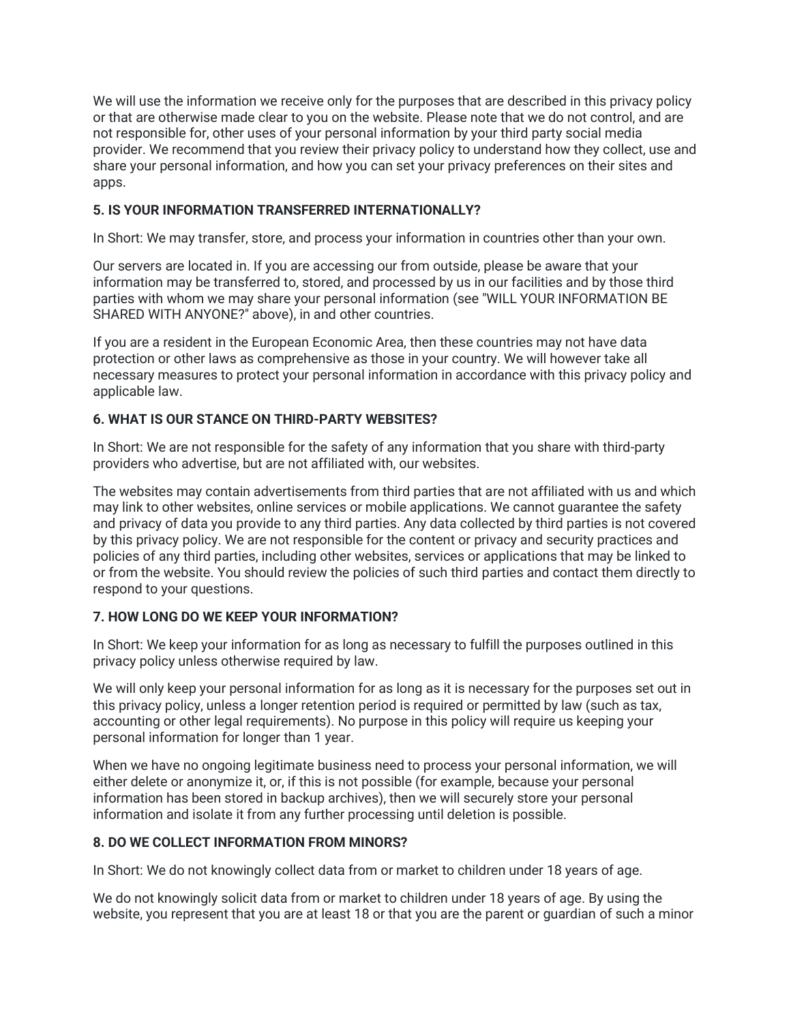We will use the information we receive only for the purposes that are described in this privacy policy or that are otherwise made clear to you on the website. Please note that we do not control, and are not responsible for, other uses of your personal information by your third party social media provider. We recommend that you review their privacy policy to understand how they collect, use and share your personal information, and how you can set your privacy preferences on their sites and apps.

#### **5. IS YOUR INFORMATION TRANSFERRED INTERNATIONALLY?**

In Short: We may transfer, store, and process your information in countries other than your own.

Our servers are located in. If you are accessing our from outside, please be aware that your information may be transferred to, stored, and processed by us in our facilities and by those third parties with whom we may share your personal information (see "WILL YOUR INFORMATION BE SHARED WITH ANYONE?" above), in and other countries.

If you are a resident in the European Economic Area, then these countries may not have data protection or other laws as comprehensive as those in your country. We will however take all necessary measures to protect your personal information in accordance with this privacy policy and applicable law.

## **6. WHAT IS OUR STANCE ON THIRD-PARTY WEBSITES?**

In Short: We are not responsible for the safety of any information that you share with third-party providers who advertise, but are not affiliated with, our websites.

The websites may contain advertisements from third parties that are not affiliated with us and which may link to other websites, online services or mobile applications. We cannot guarantee the safety and privacy of data you provide to any third parties. Any data collected by third parties is not covered by this privacy policy. We are not responsible for the content or privacy and security practices and policies of any third parties, including other websites, services or applications that may be linked to or from the website. You should review the policies of such third parties and contact them directly to respond to your questions.

## **7. HOW LONG DO WE KEEP YOUR INFORMATION?**

In Short: We keep your information for as long as necessary to fulfill the purposes outlined in this privacy policy unless otherwise required by law.

We will only keep your personal information for as long as it is necessary for the purposes set out in this privacy policy, unless a longer retention period is required or permitted by law (such as tax, accounting or other legal requirements). No purpose in this policy will require us keeping your personal information for longer than 1 year.

When we have no ongoing legitimate business need to process your personal information, we will either delete or anonymize it, or, if this is not possible (for example, because your personal information has been stored in backup archives), then we will securely store your personal information and isolate it from any further processing until deletion is possible.

## **8. DO WE COLLECT INFORMATION FROM MINORS?**

In Short: We do not knowingly collect data from or market to children under 18 years of age.

We do not knowingly solicit data from or market to children under 18 years of age. By using the website, you represent that you are at least 18 or that you are the parent or guardian of such a minor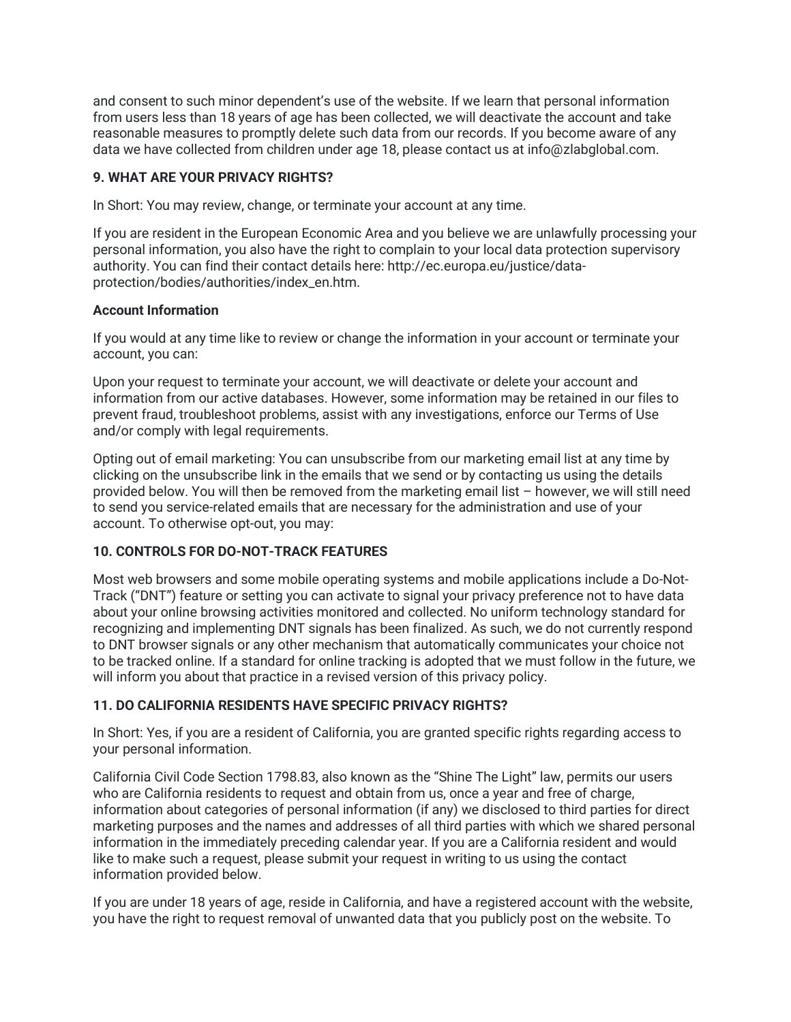and consent to such minor dependent's use of the website. If we learn that personal information from users less than 18 years of age has been collected, we will deactivate the account and take reasonable measures to promptly delete such data from our records. If you become aware of any data we have collected from children under age 18, please contact us at info@zlabglobal.com.

## **9. WHAT ARE YOUR PRIVACY RIGHTS?**

In Short: You may review, change, or terminate your account at any time.

If you are resident in the European Economic Area and you believe we are unlawfully processing your personal information, you also have the right to complain to your local data protection supervisory authority. You can find their contact details here: http://ec.europa.eu/justice/dataprotection/bodies/authorities/index\_en.htm.

## **Account Information**

If you would at any time like to review or change the information in your account or terminate your account, you can:

Upon your request to terminate your account, we will deactivate or delete your account and information from our active databases. However, some information may be retained in our files to prevent fraud, troubleshoot problems, assist with any investigations, enforce our Terms of Use and/or comply with legal requirements.

Opting out of email marketing: You can unsubscribe from our marketing email list at any time by clicking on the unsubscribe link in the emails that we send or by contacting us using the details provided below. You will then be removed from the marketing email list – however, we will still need to send you service-related emails that are necessary for the administration and use of your account. To otherwise opt-out, you may:

## **10. CONTROLS FOR DO-NOT-TRACK FEATURES**

Most web browsers and some mobile operating systems and mobile applications include a Do-Not-Track ("DNT") feature or setting you can activate to signal your privacy preference not to have data about your online browsing activities monitored and collected. No uniform technology standard for recognizing and implementing DNT signals has been finalized. As such, we do not currently respond to DNT browser signals or any other mechanism that automatically communicates your choice not to be tracked online. If a standard for online tracking is adopted that we must follow in the future, we will inform you about that practice in a revised version of this privacy policy.

## **11. DO CALIFORNIA RESIDENTS HAVE SPECIFIC PRIVACY RIGHTS?**

In Short: Yes, if you are a resident of California, you are granted specific rights regarding access to your personal information.

California Civil Code Section 1798.83, also known as the "Shine The Light" law, permits our users who are California residents to request and obtain from us, once a year and free of charge, information about categories of personal information (if any) we disclosed to third parties for direct marketing purposes and the names and addresses of all third parties with which we shared personal information in the immediately preceding calendar year. If you are a California resident and would like to make such a request, please submit your request in writing to us using the contact information provided below.

If you are under 18 years of age, reside in California, and have a registered account with the website, you have the right to request removal of unwanted data that you publicly post on the website. To